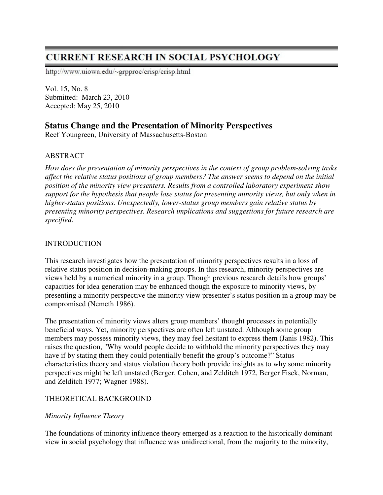# **CURRENT RESEARCH IN SOCIAL PSYCHOLOGY**

http://www.uiowa.edu/~grpproc/crisp/crisp.html

Vol. 15, No. 8 Submitted: March 23, 2010 Accepted: May 25, 2010

# **Status Change and the Presentation of Minority Perspectives**

Reef Youngreen, University of Massachusetts-Boston

## ABSTRACT

*How does the presentation of minority perspectives in the context of group problem-solving tasks affect the relative status positions of group members? The answer seems to depend on the initial position of the minority view presenters. Results from a controlled laboratory experiment show support for the hypothesis that people lose status for presenting minority views, but only when in higher-status positions. Unexpectedly, lower-status group members gain relative status by presenting minority perspectives. Research implications and suggestions for future research are specified.* 

## INTRODUCTION

This research investigates how the presentation of minority perspectives results in a loss of relative status position in decision-making groups. In this research, minority perspectives are views held by a numerical minority in a group. Though previous research details how groups' capacities for idea generation may be enhanced though the exposure to minority views, by presenting a minority perspective the minority view presenter's status position in a group may be compromised (Nemeth 1986).

The presentation of minority views alters group members' thought processes in potentially beneficial ways. Yet, minority perspectives are often left unstated. Although some group members may possess minority views, they may feel hesitant to express them (Janis 1982). This raises the question, "Why would people decide to withhold the minority perspectives they may have if by stating them they could potentially benefit the group's outcome?" Status characteristics theory and status violation theory both provide insights as to why some minority perspectives might be left unstated (Berger, Cohen, and Zelditch 1972, Berger Fisek, Norman, and Zelditch 1977; Wagner 1988).

# THEORETICAL BACKGROUND

# *Minority Influence Theory*

The foundations of minority influence theory emerged as a reaction to the historically dominant view in social psychology that influence was unidirectional, from the majority to the minority,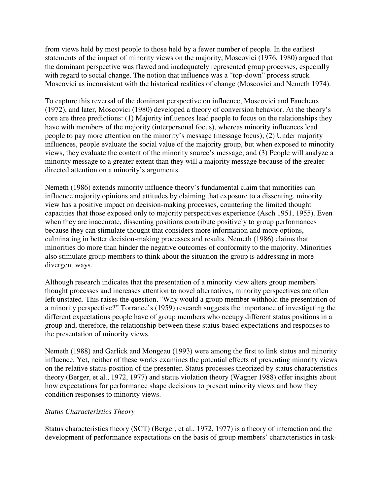from views held by most people to those held by a fewer number of people. In the earliest statements of the impact of minority views on the majority, Moscovici (1976, 1980) argued that the dominant perspective was flawed and inadequately represented group processes, especially with regard to social change. The notion that influence was a "top-down" process struck Moscovici as inconsistent with the historical realities of change (Moscovici and Nemeth 1974).

To capture this reversal of the dominant perspective on influence, Moscovici and Faucheux (1972), and later, Moscovici (1980) developed a theory of conversion behavior. At the theory's core are three predictions: (1) Majority influences lead people to focus on the relationships they have with members of the majority (interpersonal focus), whereas minority influences lead people to pay more attention on the minority's message (message focus); (2) Under majority influences, people evaluate the social value of the majority group, but when exposed to minority views, they evaluate the content of the minority source's message; and (3) People will analyze a minority message to a greater extent than they will a majority message because of the greater directed attention on a minority's arguments.

Nemeth (1986) extends minority influence theory's fundamental claim that minorities can influence majority opinions and attitudes by claiming that exposure to a dissenting, minority view has a positive impact on decision-making processes, countering the limited thought capacities that those exposed only to majority perspectives experience (Asch 1951, 1955). Even when they are inaccurate, dissenting positions contribute positively to group performances because they can stimulate thought that considers more information and more options, culminating in better decision-making processes and results. Nemeth (1986) claims that minorities do more than hinder the negative outcomes of conformity to the majority. Minorities also stimulate group members to think about the situation the group is addressing in more divergent ways.

Although research indicates that the presentation of a minority view alters group members' thought processes and increases attention to novel alternatives, minority perspectives are often left unstated. This raises the question, "Why would a group member withhold the presentation of a minority perspective?" Torrance's (1959) research suggests the importance of investigating the different expectations people have of group members who occupy different status positions in a group and, therefore, the relationship between these status-based expectations and responses to the presentation of minority views.

Nemeth (1988) and Garlick and Mongeau (1993) were among the first to link status and minority influence. Yet, neither of these works examines the potential effects of presenting minority views on the relative status position of the presenter. Status processes theorized by status characteristics theory (Berger, et al., 1972, 1977) and status violation theory (Wagner 1988) offer insights about how expectations for performance shape decisions to present minority views and how they condition responses to minority views.

#### *Status Characteristics Theory*

Status characteristics theory (SCT) (Berger, et al., 1972, 1977) is a theory of interaction and the development of performance expectations on the basis of group members' characteristics in task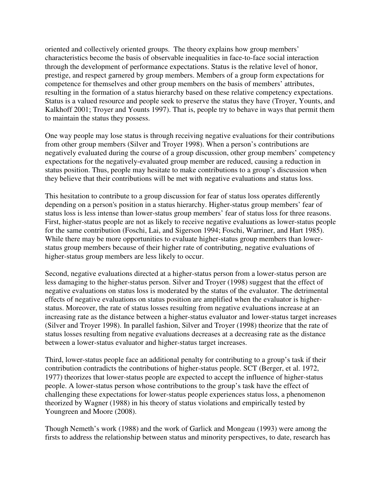oriented and collectively oriented groups. The theory explains how group members' characteristics become the basis of observable inequalities in face-to-face social interaction through the development of performance expectations. Status is the relative level of honor, prestige, and respect garnered by group members. Members of a group form expectations for competence for themselves and other group members on the basis of members' attributes, resulting in the formation of a status hierarchy based on these relative competency expectations. Status is a valued resource and people seek to preserve the status they have (Troyer, Younts, and Kalkhoff 2001; Troyer and Younts 1997). That is, people try to behave in ways that permit them to maintain the status they possess.

One way people may lose status is through receiving negative evaluations for their contributions from other group members (Silver and Troyer 1998). When a person's contributions are negatively evaluated during the course of a group discussion, other group members' competency expectations for the negatively-evaluated group member are reduced, causing a reduction in status position. Thus, people may hesitate to make contributions to a group's discussion when they believe that their contributions will be met with negative evaluations and status loss.

This hesitation to contribute to a group discussion for fear of status loss operates differently depending on a person's position in a status hierarchy. Higher-status group members' fear of status loss is less intense than lower-status group members' fear of status loss for three reasons. First, higher-status people are not as likely to receive negative evaluations as lower-status people for the same contribution (Foschi, Lai, and Sigerson 1994; Foschi, Warriner, and Hart 1985). While there may be more opportunities to evaluate higher-status group members than lowerstatus group members because of their higher rate of contributing, negative evaluations of higher-status group members are less likely to occur.

Second, negative evaluations directed at a higher-status person from a lower-status person are less damaging to the higher-status person. Silver and Troyer (1998) suggest that the effect of negative evaluations on status loss is moderated by the status of the evaluator. The detrimental effects of negative evaluations on status position are amplified when the evaluator is higherstatus. Moreover, the rate of status losses resulting from negative evaluations increase at an increasing rate as the distance between a higher-status evaluator and lower-status target increases (Silver and Troyer 1998). In parallel fashion, Silver and Troyer (1998) theorize that the rate of status losses resulting from negative evaluations decreases at a decreasing rate as the distance between a lower-status evaluator and higher-status target increases.

Third, lower-status people face an additional penalty for contributing to a group's task if their contribution contradicts the contributions of higher-status people. SCT (Berger, et al. 1972, 1977) theorizes that lower-status people are expected to accept the influence of higher-status people. A lower-status person whose contributions to the group's task have the effect of challenging these expectations for lower-status people experiences status loss, a phenomenon theorized by Wagner (1988) in his theory of status violations and empirically tested by Youngreen and Moore (2008).

Though Nemeth's work (1988) and the work of Garlick and Mongeau (1993) were among the firsts to address the relationship between status and minority perspectives, to date, research has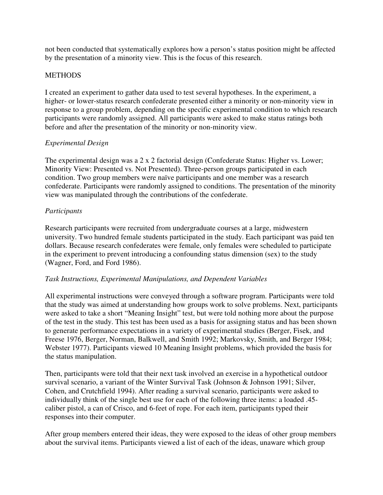not been conducted that systematically explores how a person's status position might be affected by the presentation of a minority view. This is the focus of this research.

## **METHODS**

I created an experiment to gather data used to test several hypotheses. In the experiment, a higher- or lower-status research confederate presented either a minority or non-minority view in response to a group problem, depending on the specific experimental condition to which research participants were randomly assigned. All participants were asked to make status ratings both before and after the presentation of the minority or non-minority view.

## *Experimental Design*

The experimental design was a 2 x 2 factorial design (Confederate Status: Higher vs. Lower; Minority View: Presented vs. Not Presented). Three-person groups participated in each condition. Two group members were naïve participants and one member was a research confederate. Participants were randomly assigned to conditions. The presentation of the minority view was manipulated through the contributions of the confederate.

#### *Participants*

Research participants were recruited from undergraduate courses at a large, midwestern university. Two hundred female students participated in the study. Each participant was paid ten dollars. Because research confederates were female, only females were scheduled to participate in the experiment to prevent introducing a confounding status dimension (sex) to the study (Wagner, Ford, and Ford 1986).

#### *Task Instructions, Experimental Manipulations, and Dependent Variables*

All experimental instructions were conveyed through a software program. Participants were told that the study was aimed at understanding how groups work to solve problems. Next, participants were asked to take a short "Meaning Insight" test, but were told nothing more about the purpose of the test in the study. This test has been used as a basis for assigning status and has been shown to generate performance expectations in a variety of experimental studies (Berger, Fisek, and Freese 1976, Berger, Norman, Balkwell, and Smith 1992; Markovsky, Smith, and Berger 1984; Webster 1977). Participants viewed 10 Meaning Insight problems, which provided the basis for the status manipulation.

Then, participants were told that their next task involved an exercise in a hypothetical outdoor survival scenario, a variant of the Winter Survival Task (Johnson & Johnson 1991; Silver, Cohen, and Crutchfield 1994). After reading a survival scenario, participants were asked to individually think of the single best use for each of the following three items: a loaded .45 caliber pistol, a can of Crisco, and 6-feet of rope. For each item, participants typed their responses into their computer.

After group members entered their ideas, they were exposed to the ideas of other group members about the survival items. Participants viewed a list of each of the ideas, unaware which group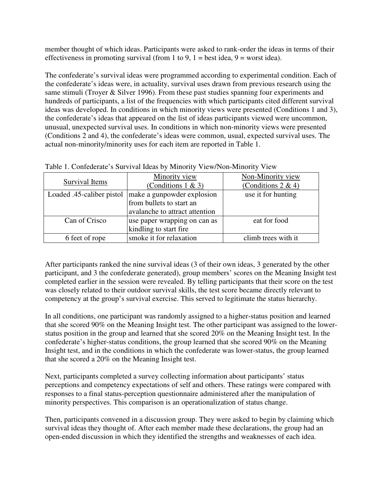member thought of which ideas. Participants were asked to rank-order the ideas in terms of their effectiveness in promoting survival (from 1 to 9,  $1 = \text{best}$  idea,  $9 = \text{worst}$  idea).

The confederate's survival ideas were programmed according to experimental condition. Each of the confederate's ideas were, in actuality, survival uses drawn from previous research using the same stimuli (Troyer & Silver 1996). From these past studies spanning four experiments and hundreds of participants, a list of the frequencies with which participants cited different survival ideas was developed. In conditions in which minority views were presented (Conditions 1 and 3), the confederate's ideas that appeared on the list of ideas participants viewed were uncommon, unusual, unexpected survival uses. In conditions in which non-minority views were presented (Conditions 2 and 4), the confederate's ideas were common, usual, expected survival uses. The actual non-minority/minority uses for each item are reported in Table 1.

| Survival Items            | Minority view<br>(Conditions $1 & 3$ )                 | Non-Minority view<br>(Conditions $2 \& 4$ ) |
|---------------------------|--------------------------------------------------------|---------------------------------------------|
| Loaded .45-caliber pistol | make a gunpowder explosion<br>from bullets to start an | use it for hunting                          |
|                           | avalanche to attract attention                         |                                             |
| Can of Crisco             | use paper wrapping on can as<br>kindling to start fire | eat for food                                |
| 6 feet of rope            | smoke it for relaxation                                | climb trees with it                         |

Table 1. Confederate's Survival Ideas by Minority View/Non-Minority View

After participants ranked the nine survival ideas (3 of their own ideas, 3 generated by the other participant, and 3 the confederate generated), group members' scores on the Meaning Insight test completed earlier in the session were revealed. By telling participants that their score on the test was closely related to their outdoor survival skills, the test score became directly relevant to competency at the group's survival exercise. This served to legitimate the status hierarchy.

In all conditions, one participant was randomly assigned to a higher-status position and learned that she scored 90% on the Meaning Insight test. The other participant was assigned to the lowerstatus position in the group and learned that she scored 20% on the Meaning Insight test. In the confederate's higher-status conditions, the group learned that she scored 90% on the Meaning Insight test, and in the conditions in which the confederate was lower-status, the group learned that she scored a 20% on the Meaning Insight test.

Next, participants completed a survey collecting information about participants' status perceptions and competency expectations of self and others. These ratings were compared with responses to a final status-perception questionnaire administered after the manipulation of minority perspectives. This comparison is an operationalization of status change.

Then, participants convened in a discussion group. They were asked to begin by claiming which survival ideas they thought of. After each member made these declarations, the group had an open-ended discussion in which they identified the strengths and weaknesses of each idea.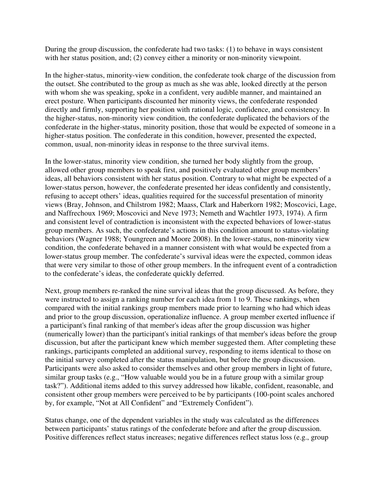During the group discussion, the confederate had two tasks: (1) to behave in ways consistent with her status position, and; (2) convey either a minority or non-minority viewpoint.

In the higher-status, minority-view condition, the confederate took charge of the discussion from the outset. She contributed to the group as much as she was able, looked directly at the person with whom she was speaking, spoke in a confident, very audible manner, and maintained an erect posture. When participants discounted her minority views, the confederate responded directly and firmly, supporting her position with rational logic, confidence, and consistency. In the higher-status, non-minority view condition, the confederate duplicated the behaviors of the confederate in the higher-status, minority position, those that would be expected of someone in a higher-status position. The confederate in this condition, however, presented the expected, common, usual, non-minority ideas in response to the three survival items.

In the lower-status, minority view condition, she turned her body slightly from the group, allowed other group members to speak first, and positively evaluated other group members' ideas, all behaviors consistent with her status position. Contrary to what might be expected of a lower-status person, however, the confederate presented her ideas confidently and consistently, refusing to accept others' ideas, qualities required for the successful presentation of minority views (Bray, Johnson, and Chilstrom 1982; Maass, Clark and Haberkorn 1982; Moscovici, Lage, and Naffrechoux 1969; Moscovici and Neve 1973; Nemeth and Wachtler 1973, 1974). A firm and consistent level of contradiction is inconsistent with the expected behaviors of lower-status group members. As such, the confederate's actions in this condition amount to status-violating behaviors (Wagner 1988; Youngreen and Moore 2008). In the lower-status, non-minority view condition, the confederate behaved in a manner consistent with what would be expected from a lower-status group member. The confederate's survival ideas were the expected, common ideas that were very similar to those of other group members. In the infrequent event of a contradiction to the confederate's ideas, the confederate quickly deferred.

Next, group members re-ranked the nine survival ideas that the group discussed. As before, they were instructed to assign a ranking number for each idea from 1 to 9. These rankings, when compared with the initial rankings group members made prior to learning who had which ideas and prior to the group discussion, operationalize influence. A group member exerted influence if a participant's final ranking of that member's ideas after the group discussion was higher (numerically lower) than the participant's initial rankings of that member's ideas before the group discussion, but after the participant knew which member suggested them. After completing these rankings, participants completed an additional survey, responding to items identical to those on the initial survey completed after the status manipulation, but before the group discussion. Participants were also asked to consider themselves and other group members in light of future, similar group tasks (e.g., "How valuable would you be in a future group with a similar group task?"). Additional items added to this survey addressed how likable, confident, reasonable, and consistent other group members were perceived to be by participants (100-point scales anchored by, for example, "Not at All Confident" and "Extremely Confident").

Status change, one of the dependent variables in the study was calculated as the differences between participants' status ratings of the confederate before and after the group discussion. Positive differences reflect status increases; negative differences reflect status loss (e.g., group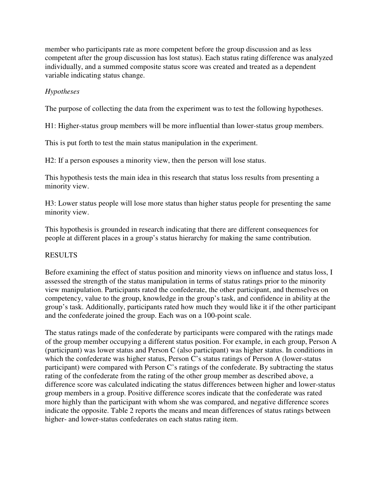member who participants rate as more competent before the group discussion and as less competent after the group discussion has lost status). Each status rating difference was analyzed individually, and a summed composite status score was created and treated as a dependent variable indicating status change.

# *Hypotheses*

The purpose of collecting the data from the experiment was to test the following hypotheses.

H1: Higher-status group members will be more influential than lower-status group members.

This is put forth to test the main status manipulation in the experiment.

H2: If a person espouses a minority view, then the person will lose status.

This hypothesis tests the main idea in this research that status loss results from presenting a minority view.

H3: Lower status people will lose more status than higher status people for presenting the same minority view.

This hypothesis is grounded in research indicating that there are different consequences for people at different places in a group's status hierarchy for making the same contribution.

# RESULTS

Before examining the effect of status position and minority views on influence and status loss, I assessed the strength of the status manipulation in terms of status ratings prior to the minority view manipulation. Participants rated the confederate, the other participant, and themselves on competency, value to the group, knowledge in the group's task, and confidence in ability at the group's task. Additionally, participants rated how much they would like it if the other participant and the confederate joined the group. Each was on a 100-point scale.

The status ratings made of the confederate by participants were compared with the ratings made of the group member occupying a different status position. For example, in each group, Person A (participant) was lower status and Person C (also participant) was higher status. In conditions in which the confederate was higher status, Person C's status ratings of Person A (lower-status) participant) were compared with Person C's ratings of the confederate. By subtracting the status rating of the confederate from the rating of the other group member as described above, a difference score was calculated indicating the status differences between higher and lower-status group members in a group. Positive difference scores indicate that the confederate was rated more highly than the participant with whom she was compared, and negative difference scores indicate the opposite. Table 2 reports the means and mean differences of status ratings between higher- and lower-status confederates on each status rating item.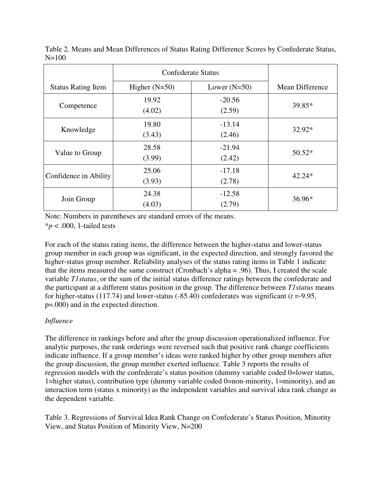|                           | Confederate Status |                    |                 |
|---------------------------|--------------------|--------------------|-----------------|
| <b>Status Rating Item</b> | Higher $(N=50)$    | Lower $(N=50)$     | Mean Difference |
| Competence                | 19.92<br>(4.02)    | $-20.56$<br>(2.59) | 39.85*          |
| Knowledge                 | 19.80<br>(3.43)    | $-13.14$<br>(2.46) | 32.92*          |
| Value to Group            | 28.58<br>(3.99)    | $-21.94$<br>(2.42) | $50.52*$        |
| Confidence in Ability     | 25.06<br>(3.93)    | $-17.18$<br>(2.78) | $42.24*$        |
| Join Group                | 24.38<br>(4.03)    | $-12.58$<br>(2.79) | $36.96*$        |

Table 2. Means and Mean Differences of Status Rating Difference Scores by Confederate Status,  $N=100$ 

Note: Numbers in parentheses are standard errors of the means.

 $**p* < .000$ , 1-tailed tests

For each of the status rating items, the difference between the higher-status and lower-status group member in each group was significant, in the expected direction, and strongly favored the higher-status group member. Reliability analyses of the status rating items in Table 1 indicate that the items measured the same construct (Cronbach's alpha = .96). Thus, I created the scale variable *T1status*, or the sum of the initial status difference ratings between the confederate and the participant at a different status position in the group. The difference between *T1status* means for higher-status (117.74) and lower-status  $(-85.40)$  confederates was significant ( $t = -9.95$ , p=.000) and in the expected direction.

# *Influence*

The difference in rankings before and after the group discussion operationalized influence. For analytic purposes, the rank orderings were reversed such that positive rank change coefficients indicate influence. If a group member's ideas were ranked higher by other group members after the group discussion, the group member exerted influence. Table 3 reports the results of regression models with the confederate's status position (dummy variable coded 0=lower status, 1=higher status), contribution type (dummy variable coded 0=non-minority, 1=minority), and an interaction term (status x minority) as the independent variables and survival idea rank change as the dependent variable.

Table 3. Regressions of Survival Idea Rank Change on Confederate's Status Position, Minority View, and Status Position of Minority View, N=200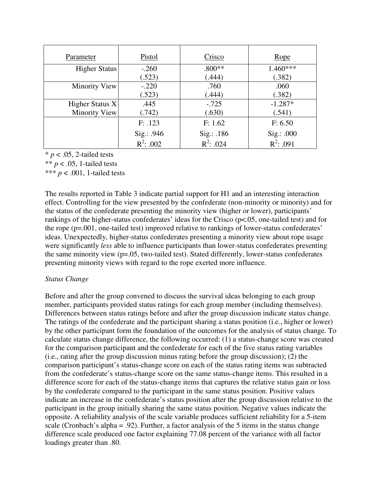| Parameter       | Pistol       | Crisco       | Rope         |
|-----------------|--------------|--------------|--------------|
| Higher Status   | $-.260$      | $.800**$     | 1.460***     |
|                 | (.523)       | (.444)       | (.382)       |
| Minority View   | $-.220$      | .760         | .060         |
|                 | (.523)       | (.444)       | (.382)       |
| Higher Status X | .445         | $-.725$      | $-1.287*$    |
| Minority View   | (0.742)      | (.630)       | (.541)       |
|                 | F: .123      | F: 1.62      | F: 6.50      |
|                 | Sig.: .946   | Sig.: .186   | Sig.: .000   |
|                 | $R^2$ : .002 | $R^2$ : .024 | $R^2$ : .091 |

 $* p < .05$ , 2-tailed tests

\*\*  $p < .05$ , 1-tailed tests

\*\*\*  $p < .001$ , 1-tailed tests

The results reported in Table 3 indicate partial support for H1 and an interesting interaction effect. Controlling for the view presented by the confederate (non-minority or minority) and for the status of the confederate presenting the minority view (higher or lower), participants' rankings of the higher-status confederates' ideas for the Crisco (p<.05, one-tailed test) and for the rope (p=.001, one-tailed test) improved relative to rankings of lower-status confederates' ideas. Unexpectedly, higher-status confederates presenting a minority view about rope usage were significantly *less* able to influence participants than lower-status confederates presenting the same minority view (p=.05, two-tailed test). Stated differently, lower-status confederates presenting minority views with regard to the rope exerted more influence.

#### *Status Change*

Before and after the group convened to discuss the survival ideas belonging to each group member, participants provided status ratings for each group member (including themselves). Differences between status ratings before and after the group discussion indicate status change. The ratings of the confederate and the participant sharing a status position (i.e., higher or lower) by the other participant form the foundation of the outcomes for the analysis of status change. To calculate status change difference, the following occurred: (1) a status-change score was created for the comparison participant and the confederate for each of the five status rating variables (i.e., rating after the group discussion minus rating before the group discussion); (2) the comparison participant's status-change score on each of the status rating items was subtracted from the confederate's status-change score on the same status-change items. This resulted in a difference score for each of the status-change items that captures the relative status gain or loss by the confederate compared to the participant in the same status position. Positive values indicate an increase in the confederate's status position after the group discussion relative to the participant in the group initially sharing the same status position. Negative values indicate the opposite. A reliability analysis of the scale variable produces sufficient reliability for a 5-item scale (Cronbach's alpha = .92). Further, a factor analysis of the 5 items in the status change difference scale produced one factor explaining 77.08 percent of the variance with all factor loadings greater than .80.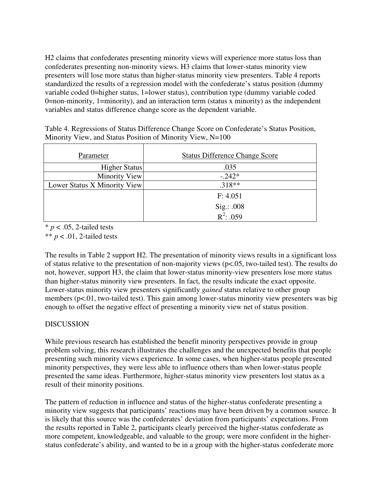H2 claims that confederates presenting minority views will experience more status loss than confederates presenting non-minority views. H3 claims that lower-status minority view presenters will lose more status than higher-status minority view presenters. Table 4 reports standardized the results of a regression model with the confederate's status position (dummy variable coded 0=higher status, 1=lower status), contribution type (dummy variable coded 0=non-minority, 1=minority), and an interaction term (status x minority) as the independent variables and status difference change score as the dependent variable.

| Parameter                    | <b>Status Difference Change Score</b> |
|------------------------------|---------------------------------------|
| Higher Status                | .035                                  |
| Minority View                | $-.242*$                              |
| Lower Status X Minority View | $.318**$                              |
|                              | F: 4.051                              |
|                              | Sig.: .008                            |
|                              | $R^2$ : .059                          |

Table 4. Regressions of Status Difference Change Score on Confederate's Status Position, Minority View, and Status Position of Minority View, N=100

 $* p < .05$ , 2-tailed tests

\*\*  $p < .01$ , 2-tailed tests

The results in Table 2 support H2. The presentation of minority views results in a significant loss of status relative to the presentation of non-majority views (p<.05, two-tailed test). The results do not, however, support H3, the claim that lower-status minority-view presenters lose more status than higher-status minority view presenters. In fact, the results indicate the exact opposite. Lower-status minority view presenters significantly *gained* status relative to other group members (p<.01, two-tailed test). This gain among lower-status minority view presenters was big enough to offset the negative effect of presenting a minority view net of status position.

# DISCUSSION

While previous research has established the benefit minority perspectives provide in group problem solving, this research illustrates the challenges and the unexpected benefits that people presenting such minority views experience. In some cases, when higher-status people presented minority perspectives, they were less able to influence others than when lower-status people presented the same ideas. Furthermore, higher-status minority view presenters lost status as a result of their minority positions.

The pattern of reduction in influence and status of the higher-status confederate presenting a minority view suggests that participants' reactions may have been driven by a common source. It is likely that this source was the confederates' deviation from participants' expectations. From the results reported in Table 2, participants clearly perceived the higher-status confederate as more competent, knowledgeable, and valuable to the group; were more confident in the higherstatus confederate's ability, and wanted to be in a group with the higher-status confederate more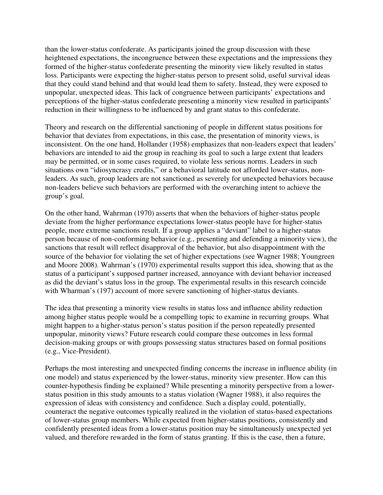than the lower-status confederate. As participants joined the group discussion with these heightened expectations, the incongruence between these expectations and the impressions they formed of the higher-status confederate presenting the minority view likely resulted in status loss. Participants were expecting the higher-status person to present solid, useful survival ideas that they could stand behind and that would lead them to safety. Instead, they were exposed to unpopular, unexpected ideas. This lack of congruence between participants' expectations and perceptions of the higher-status confederate presenting a minority view resulted in participants' reduction in their willingness to be influenced by and grant status to this confederate.

Theory and research on the differential sanctioning of people in different status positions for behavior that deviates from expectations, in this case, the presentation of minority views, is inconsistent. On the one hand, Hollander (1958) emphasizes that non-leaders expect that leaders' behaviors are intended to aid the group in reaching its goal to such a large extent that leaders may be permitted, or in some cases required, to violate less serious norms. Leaders in such situations own "idiosyncrasy credits," or a behavioral latitude not afforded lower-status, nonleaders. As such, group leaders are not sanctioned as severely for unexpected behaviors because non-leaders believe such behaviors are performed with the overarching intent to achieve the group's goal.

On the other hand, Wahrman (1970) asserts that when the behaviors of higher-status people deviate from the higher performance expectations lower-status people have for higher-status people, more extreme sanctions result. If a group applies a "deviant" label to a higher-status person because of non-conforming behavior (e.g., presenting and defending a minority view), the sanctions that result will reflect disapproval of the behavior, but also disappointment with the source of the behavior for violating the set of higher expectations (see Wagner 1988; Youngreen and Moore 2008). Wahrman's (1970) experimental results support this idea, showing that as the status of a participant's supposed partner increased, annoyance with deviant behavior increased as did the deviant's status loss in the group. The experimental results in this research coincide with Wharman's (197) account of more severe sanctioning of higher-status deviants.

The idea that presenting a minority view results in status loss and influence ability reduction among higher status people would be a compelling topic to examine in recurring groups. What might happen to a higher-status person's status position if the person repeatedly presented unpopular, minority views? Future research could compare these outcomes in less formal decision-making groups or with groups possessing status structures based on formal positions (e.g., Vice-President).

Perhaps the most interesting and unexpected finding concerns the increase in influence ability (in one model) and status experienced by the lower-status, minority view presenter. How can this counter-hypothesis finding be explained? While presenting a minority perspective from a lowerstatus position in this study amounts to a status violation (Wagner 1988), it also requires the expression of ideas with consistency and confidence. Such a display could, potentially, counteract the negative outcomes typically realized in the violation of status-based expectations of lower-status group members. While expected from higher-status positions, consistently and confidently presented ideas from a lower-status position may be simultaneously unexpected yet valued, and therefore rewarded in the form of status granting. If this is the case, then a future,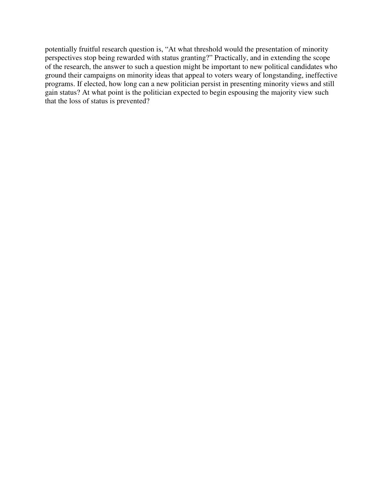potentially fruitful research question is, "At what threshold would the presentation of minority perspectives stop being rewarded with status granting?" Practically, and in extending the scope of the research, the answer to such a question might be important to new political candidates who ground their campaigns on minority ideas that appeal to voters weary of longstanding, ineffective programs. If elected, how long can a new politician persist in presenting minority views and still gain status? At what point is the politician expected to begin espousing the majority view such that the loss of status is prevented?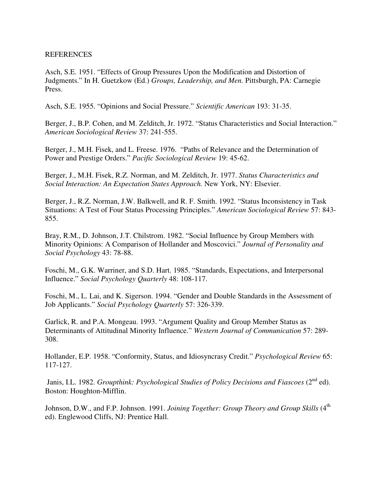#### **REFERENCES**

Asch, S.E. 1951. "Effects of Group Pressures Upon the Modification and Distortion of Judgments." In H. Guetzkow (Ed.) *Groups, Leadership, and Men.* Pittsburgh, PA: Carnegie Press.

Asch, S.E. 1955. "Opinions and Social Pressure." *Scientific American* 193: 31-35.

Berger, J., B.P. Cohen, and M. Zelditch, Jr. 1972. "Status Characteristics and Social Interaction." *American Sociological Review* 37: 241-555.

Berger, J., M.H. Fisek, and L. Freese. 1976. "Paths of Relevance and the Determination of Power and Prestige Orders." *Pacific Sociological Review* 19: 45-62.

Berger, J., M.H. Fisek, R.Z. Norman, and M. Zelditch, Jr. 1977. *Status Characteristics and Social Interaction: An Expectation States Approach.* New York, NY: Elsevier.

Berger, J., R.Z. Norman, J.W. Balkwell, and R. F. Smith. 1992. "Status Inconsistency in Task Situations: A Test of Four Status Processing Principles." *American Sociological Review* 57: 843- 855.

Bray, R.M., D. Johnson, J.T. Chilstrom. 1982. "Social Influence by Group Members with Minority Opinions: A Comparison of Hollander and Moscovici." *Journal of Personality and Social Psychology* 43: 78-88.

Foschi, M., G.K. Warriner, and S.D. Hart. 1985. "Standards, Expectations, and Interpersonal Influence." *Social Psychology Quarterly* 48: 108-117.

Foschi, M., L. Lai, and K. Sigerson. 1994. "Gender and Double Standards in the Assessment of Job Applicants." *Social Psychology Quarterly* 57: 326-339.

Garlick, R. and P.A. Mongeau. 1993. "Argument Quality and Group Member Status as Determinants of Attitudinal Minority Influence." *Western Journal of Communication* 57: 289- 308.

Hollander, E.P. 1958. "Conformity, Status, and Idiosyncrasy Credit." *Psychological Review* 65: 117-127.

Janis, I.L. 1982. *Groupthink: Psychological Studies of Policy Decisions and Fiascoes* (2<sup>nd</sup> ed). Boston: Houghton-Mifflin.

Johnson, D.W., and F.P. Johnson. 1991. *Joining Together: Group Theory and Group Skills* (4<sup>th</sup> ed). Englewood Cliffs, NJ: Prentice Hall.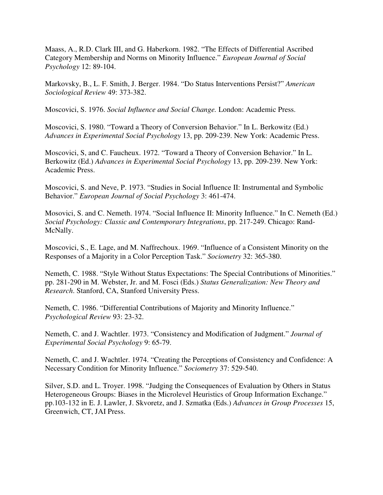Maass, A., R.D. Clark III, and G. Haberkorn. 1982. "The Effects of Differential Ascribed Category Membership and Norms on Minority Influence." *European Journal of Social Psychology* 12: 89-104.

Markovsky, B., L. F. Smith, J. Berger. 1984. "Do Status Interventions Persist?" *American Sociological Review* 49: 373-382.

Moscovici, S. 1976. *Social Influence and Social Change.* London: Academic Press.

Moscovici, S. 1980. "Toward a Theory of Conversion Behavior." In L. Berkowitz (Ed.) *Advances in Experimental Social Psychology* 13, pp. 209-239. New York: Academic Press.

Moscovici, S, and C. Faucheux. 1972. "Toward a Theory of Conversion Behavior." In L. Berkowitz (Ed.) *Advances in Experimental Social Psychology* 13, pp. 209-239. New York: Academic Press.

Moscovici, S. and Neve, P. 1973. "Studies in Social Influence II: Instrumental and Symbolic Behavior." *European Journal of Social Psychology* 3: 461-474.

Mosovici, S. and C. Nemeth. 1974. "Social Influence II: Minority Influence." In C. Nemeth (Ed.) *Social Psychology: Classic and Contemporary Integrations*, pp. 217-249. Chicago: Rand-McNally.

Moscovici, S., E. Lage, and M. Naffrechoux. 1969. "Influence of a Consistent Minority on the Responses of a Majority in a Color Perception Task." *Sociometry* 32: 365-380.

Nemeth, C. 1988. "Style Without Status Expectations: The Special Contributions of Minorities." pp. 281-290 in M. Webster, Jr. and M. Fosci (Eds.) *Status Generalization: New Theory and Research*. Stanford, CA, Stanford University Press.

Nemeth, C. 1986. "Differential Contributions of Majority and Minority Influence." *Psychological Review* 93: 23-32.

Nemeth, C. and J. Wachtler. 1973. "Consistency and Modification of Judgment." *Journal of Experimental Social Psychology* 9: 65-79.

Nemeth, C. and J. Wachtler. 1974. "Creating the Perceptions of Consistency and Confidence: A Necessary Condition for Minority Influence." *Sociometry* 37: 529-540.

Silver, S.D. and L. Troyer. 1998. "Judging the Consequences of Evaluation by Others in Status Heterogeneous Groups: Biases in the Microlevel Heuristics of Group Information Exchange." pp.103-132 in E. J. Lawler, J. Skvoretz, and J. Szmatka (Eds.) *Advances in Group Processes* 15, Greenwich, CT, JAI Press.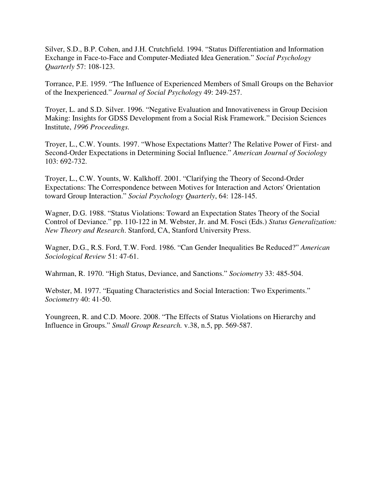Silver, S.D., B.P. Cohen, and J.H. Crutchfield. 1994. "Status Differentiation and Information Exchange in Face-to-Face and Computer-Mediated Idea Generation." *Social Psychology Quarterly* 57: 108-123.

Torrance, P.E. 1959. "The Influence of Experienced Members of Small Groups on the Behavior of the Inexperienced." *Journal of Social Psychology* 49: 249-257.

Troyer, L. and S.D. Silver. 1996. "Negative Evaluation and Innovativeness in Group Decision Making: Insights for GDSS Development from a Social Risk Framework." Decision Sciences Institute, *1996 Proceedings.* 

Troyer, L., C.W. Younts. 1997. "Whose Expectations Matter? The Relative Power of First- and Second-Order Expectations in Determining Social Influence." *American Journal of Sociology* 103: 692-732.

Troyer, L., C.W. Younts, W. Kalkhoff. 2001. "Clarifying the Theory of Second-Order Expectations: The Correspondence between Motives for Interaction and Actors' Orientation toward Group Interaction." *Social Psychology Quarterly*, 64: 128-145.

Wagner, D.G. 1988. "Status Violations: Toward an Expectation States Theory of the Social Control of Deviance." pp. 110-122 in M. Webster, Jr. and M. Fosci (Eds.) *Status Generalization: New Theory and Research*. Stanford, CA, Stanford University Press.

Wagner, D.G., R.S. Ford, T.W. Ford. 1986. "Can Gender Inequalities Be Reduced?" *American Sociological Review* 51: 47-61.

Wahrman, R. 1970. "High Status, Deviance, and Sanctions." *Sociometry* 33: 485-504.

Webster, M. 1977. "Equating Characteristics and Social Interaction: Two Experiments." *Sociometry* 40: 41-50.

Youngreen, R. and C.D. Moore. 2008. "The Effects of Status Violations on Hierarchy and Influence in Groups." *Small Group Research.* v.38, n.5, pp. 569-587.